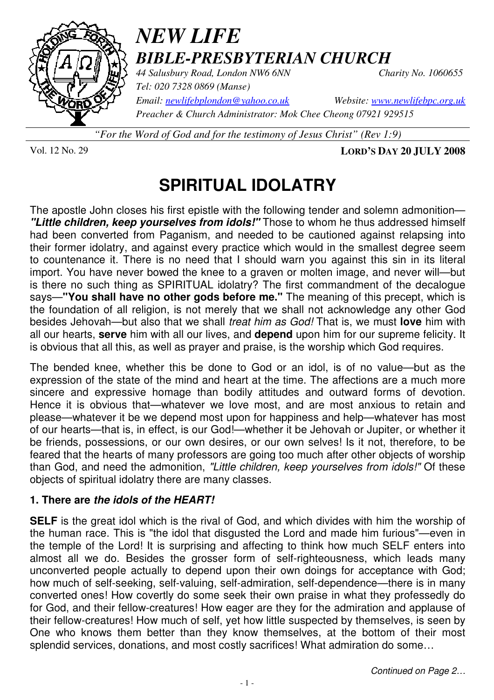

# *NEW LIFE BIBLE-PRESBYTERIAN CHURCH*

*44 Salusbury Road, London NW6 6NN Charity No. 1060655 Tel: 020 7328 0869 (Manse)* 

*Email: newlifebplondon@yahoo.co.uk Website: www.newlifebpc.org.uk Preacher & Church Administrator: Mok Chee Cheong 07921 929515* 

*"For the Word of God and for the testimony of Jesus Christ" (Rev 1:9)*

Vol. 12 No. 29 **LORD'S DAY 20 JULY 2008**

# **SPIRITUAL IDOLATRY**

The apostle John closes his first epistle with the following tender and solemn admonition— **"Little children, keep yourselves from idols!"** Those to whom he thus addressed himself had been converted from Paganism, and needed to be cautioned against relapsing into their former idolatry, and against every practice which would in the smallest degree seem to countenance it. There is no need that I should warn you against this sin in its literal import. You have never bowed the knee to a graven or molten image, and never will—but is there no such thing as SPIRITUAL idolatry? The first commandment of the decalogue says—**"You shall have no other gods before me."** The meaning of this precept, which is the foundation of all religion, is not merely that we shall not acknowledge any other God besides Jehovah—but also that we shall treat him as God! That is, we must **love** him with all our hearts, **serve** him with all our lives, and **depend** upon him for our supreme felicity. It is obvious that all this, as well as prayer and praise, is the worship which God requires.

The bended knee, whether this be done to God or an idol, is of no value—but as the expression of the state of the mind and heart at the time. The affections are a much more sincere and expressive homage than bodily attitudes and outward forms of devotion. Hence it is obvious that—whatever we love most, and are most anxious to retain and please—whatever it be we depend most upon for happiness and help—whatever has most of our hearts—that is, in effect, is our God!—whether it be Jehovah or Jupiter, or whether it be friends, possessions, or our own desires, or our own selves! Is it not, therefore, to be feared that the hearts of many professors are going too much after other objects of worship than God, and need the admonition, "Little children, keep yourselves from idols!" Of these objects of spiritual idolatry there are many classes.

### **1. There are the idols of the HEART!**

**SELF** is the great idol which is the rival of God, and which divides with him the worship of the human race. This is "the idol that disgusted the Lord and made him furious"—even in the temple of the Lord! It is surprising and affecting to think how much SELF enters into almost all we do. Besides the grosser form of self-righteousness, which leads many unconverted people actually to depend upon their own doings for acceptance with God; how much of self-seeking, self-valuing, self-admiration, self-dependence—there is in many converted ones! How covertly do some seek their own praise in what they professedly do for God, and their fellow-creatures! How eager are they for the admiration and applause of their fellow-creatures! How much of self, yet how little suspected by themselves, is seen by One who knows them better than they know themselves, at the bottom of their most splendid services, donations, and most costly sacrifices! What admiration do some…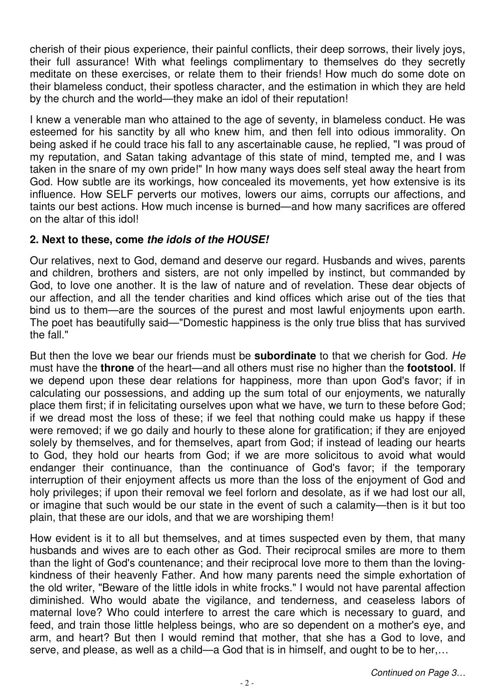cherish of their pious experience, their painful conflicts, their deep sorrows, their lively joys, their full assurance! With what feelings complimentary to themselves do they secretly meditate on these exercises, or relate them to their friends! How much do some dote on their blameless conduct, their spotless character, and the estimation in which they are held by the church and the world—they make an idol of their reputation!

I knew a venerable man who attained to the age of seventy, in blameless conduct. He was esteemed for his sanctity by all who knew him, and then fell into odious immorality. On being asked if he could trace his fall to any ascertainable cause, he replied, "I was proud of my reputation, and Satan taking advantage of this state of mind, tempted me, and I was taken in the snare of my own pride!" In how many ways does self steal away the heart from God. How subtle are its workings, how concealed its movements, yet how extensive is its influence. How SELF perverts our motives, lowers our aims, corrupts our affections, and taints our best actions. How much incense is burned—and how many sacrifices are offered on the altar of this idol!

#### **2. Next to these, come the idols of the HOUSE!**

Our relatives, next to God, demand and deserve our regard. Husbands and wives, parents and children, brothers and sisters, are not only impelled by instinct, but commanded by God, to love one another. It is the law of nature and of revelation. These dear objects of our affection, and all the tender charities and kind offices which arise out of the ties that bind us to them—are the sources of the purest and most lawful enjoyments upon earth. The poet has beautifully said—"Domestic happiness is the only true bliss that has survived the fall."

But then the love we bear our friends must be **subordinate** to that we cherish for God. He must have the **throne** of the heart—and all others must rise no higher than the **footstool**. If we depend upon these dear relations for happiness, more than upon God's favor; if in calculating our possessions, and adding up the sum total of our enjoyments, we naturally place them first; if in felicitating ourselves upon what we have, we turn to these before God; if we dread most the loss of these; if we feel that nothing could make us happy if these were removed; if we go daily and hourly to these alone for gratification; if they are enjoyed solely by themselves, and for themselves, apart from God; if instead of leading our hearts to God, they hold our hearts from God; if we are more solicitous to avoid what would endanger their continuance, than the continuance of God's favor; if the temporary interruption of their enjoyment affects us more than the loss of the enjoyment of God and holy privileges; if upon their removal we feel forlorn and desolate, as if we had lost our all, or imagine that such would be our state in the event of such a calamity—then is it but too plain, that these are our idols, and that we are worshiping them!

How evident is it to all but themselves, and at times suspected even by them, that many husbands and wives are to each other as God. Their reciprocal smiles are more to them than the light of God's countenance; and their reciprocal love more to them than the lovingkindness of their heavenly Father. And how many parents need the simple exhortation of the old writer, "Beware of the little idols in white frocks." I would not have parental affection diminished. Who would abate the vigilance, and tenderness, and ceaseless labors of maternal love? Who could interfere to arrest the care which is necessary to guard, and feed, and train those little helpless beings, who are so dependent on a mother's eye, and arm, and heart? But then I would remind that mother, that she has a God to love, and serve, and please, as well as a child—a God that is in himself, and ought to be to her,…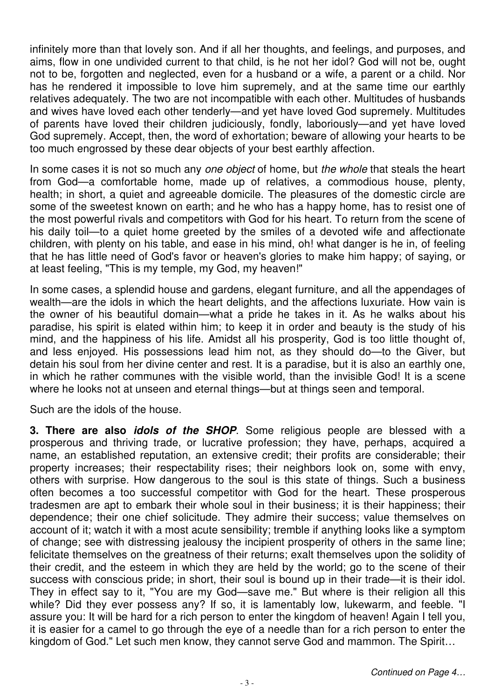infinitely more than that lovely son. And if all her thoughts, and feelings, and purposes, and aims, flow in one undivided current to that child, is he not her idol? God will not be, ought not to be, forgotten and neglected, even for a husband or a wife, a parent or a child. Nor has he rendered it impossible to love him supremely, and at the same time our earthly relatives adequately. The two are not incompatible with each other. Multitudes of husbands and wives have loved each other tenderly—and yet have loved God supremely. Multitudes of parents have loved their children judiciously, fondly, laboriously—and yet have loved God supremely. Accept, then, the word of exhortation; beware of allowing your hearts to be too much engrossed by these dear objects of your best earthly affection.

In some cases it is not so much any one object of home, but the whole that steals the heart from God—a comfortable home, made up of relatives, a commodious house, plenty, health; in short, a quiet and agreeable domicile. The pleasures of the domestic circle are some of the sweetest known on earth; and he who has a happy home, has to resist one of the most powerful rivals and competitors with God for his heart. To return from the scene of his daily toil—to a quiet home greeted by the smiles of a devoted wife and affectionate children, with plenty on his table, and ease in his mind, oh! what danger is he in, of feeling that he has little need of God's favor or heaven's glories to make him happy; of saying, or at least feeling, "This is my temple, my God, my heaven!"

In some cases, a splendid house and gardens, elegant furniture, and all the appendages of wealth—are the idols in which the heart delights, and the affections luxuriate. How vain is the owner of his beautiful domain—what a pride he takes in it. As he walks about his paradise, his spirit is elated within him; to keep it in order and beauty is the study of his mind, and the happiness of his life. Amidst all his prosperity, God is too little thought of, and less enjoyed. His possessions lead him not, as they should do—to the Giver, but detain his soul from her divine center and rest. It is a paradise, but it is also an earthly one, in which he rather communes with the visible world, than the invisible God! It is a scene where he looks not at unseen and eternal things—but at things seen and temporal.

Such are the idols of the house.

**3. There are also idols of the SHOP**. Some religious people are blessed with a prosperous and thriving trade, or lucrative profession; they have, perhaps, acquired a name, an established reputation, an extensive credit; their profits are considerable; their property increases; their respectability rises; their neighbors look on, some with envy, others with surprise. How dangerous to the soul is this state of things. Such a business often becomes a too successful competitor with God for the heart. These prosperous tradesmen are apt to embark their whole soul in their business; it is their happiness; their dependence; their one chief solicitude. They admire their success; value themselves on account of it; watch it with a most acute sensibility; tremble if anything looks like a symptom of change; see with distressing jealousy the incipient prosperity of others in the same line; felicitate themselves on the greatness of their returns; exalt themselves upon the solidity of their credit, and the esteem in which they are held by the world; go to the scene of their success with conscious pride; in short, their soul is bound up in their trade—it is their idol. They in effect say to it, "You are my God—save me." But where is their religion all this while? Did they ever possess any? If so, it is lamentably low, lukewarm, and feeble. "I assure you: It will be hard for a rich person to enter the kingdom of heaven! Again I tell you, it is easier for a camel to go through the eye of a needle than for a rich person to enter the kingdom of God." Let such men know, they cannot serve God and mammon. The Spirit…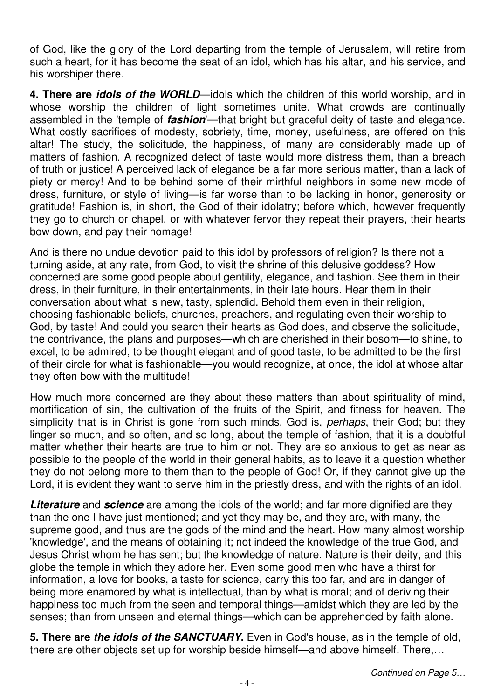of God, like the glory of the Lord departing from the temple of Jerusalem, will retire from such a heart, for it has become the seat of an idol, which has his altar, and his service, and his worshiper there.

**4. There are idols of the WORLD**—idols which the children of this world worship, and in whose worship the children of light sometimes unite. What crowds are continually assembled in the 'temple of **fashion**'—that bright but graceful deity of taste and elegance. What costly sacrifices of modesty, sobriety, time, money, usefulness, are offered on this altar! The study, the solicitude, the happiness, of many are considerably made up of matters of fashion. A recognized defect of taste would more distress them, than a breach of truth or justice! A perceived lack of elegance be a far more serious matter, than a lack of piety or mercy! And to be behind some of their mirthful neighbors in some new mode of dress, furniture, or style of living—is far worse than to be lacking in honor, generosity or gratitude! Fashion is, in short, the God of their idolatry; before which, however frequently they go to church or chapel, or with whatever fervor they repeat their prayers, their hearts bow down, and pay their homage!

And is there no undue devotion paid to this idol by professors of religion? Is there not a turning aside, at any rate, from God, to visit the shrine of this delusive goddess? How concerned are some good people about gentility, elegance, and fashion. See them in their dress, in their furniture, in their entertainments, in their late hours. Hear them in their conversation about what is new, tasty, splendid. Behold them even in their religion, choosing fashionable beliefs, churches, preachers, and regulating even their worship to God, by taste! And could you search their hearts as God does, and observe the solicitude, the contrivance, the plans and purposes—which are cherished in their bosom—to shine, to excel, to be admired, to be thought elegant and of good taste, to be admitted to be the first of their circle for what is fashionable—you would recognize, at once, the idol at whose altar they often bow with the multitude!

How much more concerned are they about these matters than about spirituality of mind, mortification of sin, the cultivation of the fruits of the Spirit, and fitness for heaven. The simplicity that is in Christ is gone from such minds. God is, *perhaps*, their God; but they linger so much, and so often, and so long, about the temple of fashion, that it is a doubtful matter whether their hearts are true to him or not. They are so anxious to get as near as possible to the people of the world in their general habits, as to leave it a question whether they do not belong more to them than to the people of God! Or, if they cannot give up the Lord, it is evident they want to serve him in the priestly dress, and with the rights of an idol.

**Literature** and **science** are among the idols of the world; and far more dignified are they than the one I have just mentioned; and yet they may be, and they are, with many, the supreme good, and thus are the gods of the mind and the heart. How many almost worship 'knowledge', and the means of obtaining it; not indeed the knowledge of the true God, and Jesus Christ whom he has sent; but the knowledge of nature. Nature is their deity, and this globe the temple in which they adore her. Even some good men who have a thirst for information, a love for books, a taste for science, carry this too far, and are in danger of being more enamored by what is intellectual, than by what is moral; and of deriving their happiness too much from the seen and temporal things—amidst which they are led by the senses; than from unseen and eternal things—which can be apprehended by faith alone.

**5. There are the idols of the SANCTUARY.** Even in God's house, as in the temple of old, there are other objects set up for worship beside himself—and above himself. There,…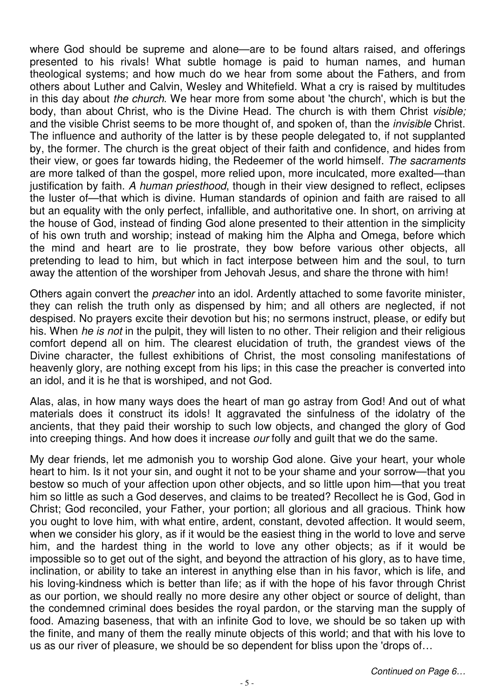where God should be supreme and alone—are to be found altars raised, and offerings presented to his rivals! What subtle homage is paid to human names, and human theological systems; and how much do we hear from some about the Fathers, and from others about Luther and Calvin, Wesley and Whitefield. What a cry is raised by multitudes in this day about the church. We hear more from some about 'the church', which is but the body, than about Christ, who is the Divine Head. The church is with them Christ *visible;* and the visible Christ seems to be more thought of, and spoken of, than the *invisible* Christ. The influence and authority of the latter is by these people delegated to, if not supplanted by, the former. The church is the great object of their faith and confidence, and hides from their view, or goes far towards hiding, the Redeemer of the world himself. The sacraments are more talked of than the gospel, more relied upon, more inculcated, more exalted—than justification by faith. A human priesthood, though in their view designed to reflect, eclipses the luster of—that which is divine. Human standards of opinion and faith are raised to all but an equality with the only perfect, infallible, and authoritative one. In short, on arriving at the house of God, instead of finding God alone presented to their attention in the simplicity of his own truth and worship; instead of making him the Alpha and Omega, before which the mind and heart are to lie prostrate, they bow before various other objects, all pretending to lead to him, but which in fact interpose between him and the soul, to turn away the attention of the worshiper from Jehovah Jesus, and share the throne with him!

Others again convert the preacher into an idol. Ardently attached to some favorite minister, they can relish the truth only as dispensed by him; and all others are neglected, if not despised. No prayers excite their devotion but his; no sermons instruct, please, or edify but his. When he is not in the pulpit, they will listen to no other. Their religion and their religious comfort depend all on him. The clearest elucidation of truth, the grandest views of the Divine character, the fullest exhibitions of Christ, the most consoling manifestations of heavenly glory, are nothing except from his lips; in this case the preacher is converted into an idol, and it is he that is worshiped, and not God.

Alas, alas, in how many ways does the heart of man go astray from God! And out of what materials does it construct its idols! It aggravated the sinfulness of the idolatry of the ancients, that they paid their worship to such low objects, and changed the glory of God into creeping things. And how does it increase our folly and guilt that we do the same.

My dear friends, let me admonish you to worship God alone. Give your heart, your whole heart to him. Is it not your sin, and ought it not to be your shame and your sorrow—that you bestow so much of your affection upon other objects, and so little upon him—that you treat him so little as such a God deserves, and claims to be treated? Recollect he is God, God in Christ; God reconciled, your Father, your portion; all glorious and all gracious. Think how you ought to love him, with what entire, ardent, constant, devoted affection. It would seem, when we consider his glory, as if it would be the easiest thing in the world to love and serve him, and the hardest thing in the world to love any other objects; as if it would be impossible so to get out of the sight, and beyond the attraction of his glory, as to have time, inclination, or ability to take an interest in anything else than in his favor, which is life, and his loving-kindness which is better than life; as if with the hope of his favor through Christ as our portion, we should really no more desire any other object or source of delight, than the condemned criminal does besides the royal pardon, or the starving man the supply of food. Amazing baseness, that with an infinite God to love, we should be so taken up with the finite, and many of them the really minute objects of this world; and that with his love to us as our river of pleasure, we should be so dependent for bliss upon the 'drops of…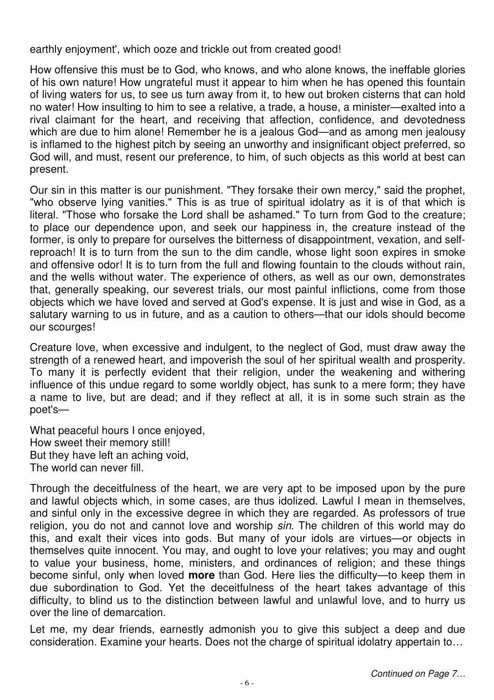earthly enjoyment', which ooze and trickle out from created good!

How offensive this must be to God, who knows, and who alone knows, the ineffable glories of his own nature! How ungrateful must it appear to him when he has opened this fountain of living waters for us, to see us turn away from it, to hew out broken cisterns that can hold no water! How insulting to him to see a relative, a trade, a house, a minister—exalted into a rival claimant for the heart, and receiving that affection, confidence, and devotedness which are due to him alone! Remember he is a jealous God—and as among men jealousy is inflamed to the highest pitch by seeing an unworthy and insignificant object preferred, so God will, and must, resent our preference, to him, of such objects as this world at best can present.

Our sin in this matter is our punishment. "They forsake their own mercy," said the prophet, "who observe lying vanities." This is as true of spiritual idolatry as it is of that which is literal. "Those who forsake the Lord shall be ashamed." To turn from God to the creature; to place our dependence upon, and seek our happiness in, the creature instead of the former, is only to prepare for ourselves the bitterness of disappointment, vexation, and selfreproach! It is to turn from the sun to the dim candle, whose light soon expires in smoke and offensive odor! It is to turn from the full and flowing fountain to the clouds without rain, and the wells without water. The experience of others, as well as our own, demonstrates that, generally speaking, our severest trials, our most painful inflictions, come from those objects which we have loved and served at God's expense. It is just and wise in God, as a salutary warning to us in future, and as a caution to others—that our idols should become our scourges!

Creature love, when excessive and indulgent, to the neglect of God, must draw away the strength of a renewed heart, and impoverish the soul of her spiritual wealth and prosperity. To many it is perfectly evident that their religion, under the weakening and withering influence of this undue regard to some worldly object, has sunk to a mere form; they have a name to live, but are dead; and if they reflect at all, it is in some such strain as the poet's—

What peaceful hours I once enjoyed, How sweet their memory still! But they have left an aching void, The world can never fill.

Through the deceitfulness of the heart, we are very apt to be imposed upon by the pure and lawful objects which, in some cases, are thus idolized. Lawful I mean in themselves, and sinful only in the excessive degree in which they are regarded. As professors of true religion, you do not and cannot love and worship sin. The children of this world may do this, and exalt their vices into gods. But many of your idols are virtues—or objects in themselves quite innocent. You may, and ought to love your relatives; you may and ought to value your business, home, ministers, and ordinances of religion; and these things become sinful, only when loved **more** than God. Here lies the difficulty—to keep them in due subordination to God. Yet the deceitfulness of the heart takes advantage of this difficulty, to blind us to the distinction between lawful and unlawful love, and to hurry us over the line of demarcation.

Let me, my dear friends, earnestly admonish you to give this subject a deep and due consideration. Examine your hearts. Does not the charge of spiritual idolatry appertain to…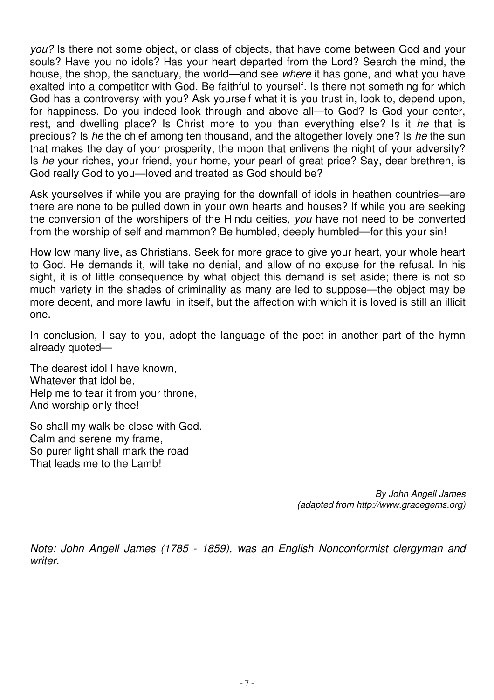you? Is there not some object, or class of objects, that have come between God and your souls? Have you no idols? Has your heart departed from the Lord? Search the mind, the house, the shop, the sanctuary, the world—and see where it has gone, and what you have exalted into a competitor with God. Be faithful to yourself. Is there not something for which God has a controversy with you? Ask yourself what it is you trust in, look to, depend upon, for happiness. Do you indeed look through and above all—to God? Is God your center, rest, and dwelling place? Is Christ more to you than everything else? Is it he that is precious? Is he the chief among ten thousand, and the altogether lovely one? Is he the sun that makes the day of your prosperity, the moon that enlivens the night of your adversity? Is he your riches, your friend, your home, your pearl of great price? Say, dear brethren, is God really God to you—loved and treated as God should be?

Ask yourselves if while you are praying for the downfall of idols in heathen countries—are there are none to be pulled down in your own hearts and houses? If while you are seeking the conversion of the worshipers of the Hindu deities, you have not need to be converted from the worship of self and mammon? Be humbled, deeply humbled—for this your sin!

How low many live, as Christians. Seek for more grace to give your heart, your whole heart to God. He demands it, will take no denial, and allow of no excuse for the refusal. In his sight, it is of little consequence by what object this demand is set aside; there is not so much variety in the shades of criminality as many are led to suppose—the object may be more decent, and more lawful in itself, but the affection with which it is loved is still an illicit one.

In conclusion, I say to you, adopt the language of the poet in another part of the hymn already quoted—

The dearest idol I have known, Whatever that idol be, Help me to tear it from your throne, And worship only thee!

So shall my walk be close with God. Calm and serene my frame, So purer light shall mark the road That leads me to the Lamb!

> By John Angell James (adapted from http://www.gracegems.org)

Note: John Angell James (1785 - 1859), was an English Nonconformist clergyman and writer.